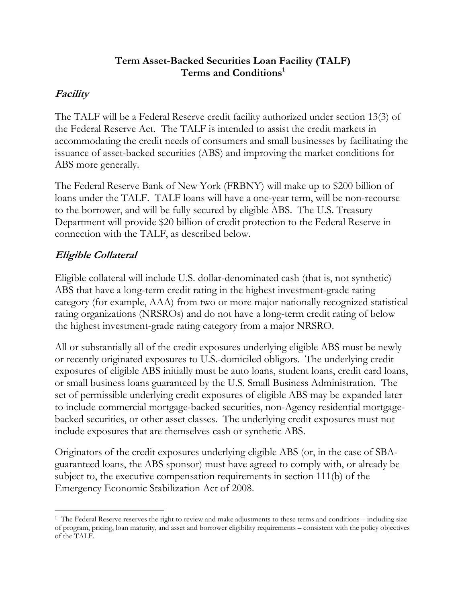#### **Term Asset-Backed Securities Loan Facility (TALF) Terms and Conditions1**

#### **Facility**

The TALF will be a Federal Reserve credit facility authorized under section 13(3) of the Federal Reserve Act. The TALF is intended to assist the credit markets in accommodating the credit needs of consumers and small businesses by facilitating the issuance of asset-backed securities (ABS) and improving the market conditions for ABS more generally.

The Federal Reserve Bank of New York (FRBNY) will make up to \$200 billion of loans under the TALF. TALF loans will have a one-year term, will be non-recourse to the borrower, and will be fully secured by eligible ABS. The U.S. Treasury Department will provide \$20 billion of credit protection to the Federal Reserve in connection with the TALF, as described below.

## **Eligible Collateral**

Eligible collateral will include U.S. dollar-denominated cash (that is, not synthetic) ABS that have a long-term credit rating in the highest investment-grade rating category (for example, AAA) from two or more major nationally recognized statistical rating organizations (NRSROs) and do not have a long-term credit rating of below the highest investment-grade rating category from a major NRSRO.

All or substantially all of the credit exposures underlying eligible ABS must be newly or recently originated exposures to U.S.-domiciled obligors. The underlying credit exposures of eligible ABS initially must be auto loans, student loans, credit card loans, or small business loans guaranteed by the U.S. Small Business Administration. The set of permissible underlying credit exposures of eligible ABS may be expanded later to include commercial mortgage-backed securities, non-Agency residential mortgagebacked securities, or other asset classes. The underlying credit exposures must not include exposures that are themselves cash or synthetic ABS.

Originators of the credit exposures underlying eligible ABS (or, in the case of SBAguaranteed loans, the ABS sponsor) must have agreed to comply with, or already be subject to, the executive compensation requirements in section 111(b) of the Emergency Economic Stabilization Act of 2008.

 <sup>1</sup> The Federal Reserve reserves the right to review and make adjustments to these terms and conditions – including size of program, pricing, loan maturity, and asset and borrower eligibility requirements – consistent with the policy objectives of the TALF.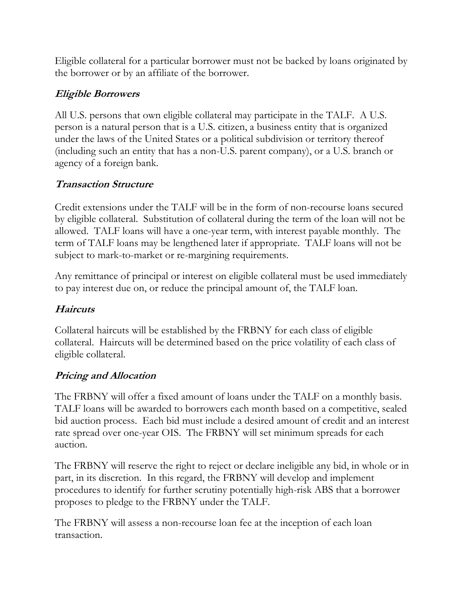Eligible collateral for a particular borrower must not be backed by loans originated by the borrower or by an affiliate of the borrower.

# **Eligible Borrowers**

All U.S. persons that own eligible collateral may participate in the TALF. A U.S. person is a natural person that is a U.S. citizen, a business entity that is organized under the laws of the United States or a political subdivision or territory thereof (including such an entity that has a non-U.S. parent company), or a U.S. branch or agency of a foreign bank.

# **Transaction Structure**

Credit extensions under the TALF will be in the form of non-recourse loans secured by eligible collateral. Substitution of collateral during the term of the loan will not be allowed. TALF loans will have a one-year term, with interest payable monthly. The term of TALF loans may be lengthened later if appropriate. TALF loans will not be subject to mark-to-market or re-margining requirements.

Any remittance of principal or interest on eligible collateral must be used immediately to pay interest due on, or reduce the principal amount of, the TALF loan.

# **Haircuts**

Collateral haircuts will be established by the FRBNY for each class of eligible collateral. Haircuts will be determined based on the price volatility of each class of eligible collateral.

## **Pricing and Allocation**

The FRBNY will offer a fixed amount of loans under the TALF on a monthly basis. TALF loans will be awarded to borrowers each month based on a competitive, sealed bid auction process. Each bid must include a desired amount of credit and an interest rate spread over one-year OIS. The FRBNY will set minimum spreads for each auction.

The FRBNY will reserve the right to reject or declare ineligible any bid, in whole or in part, in its discretion. In this regard, the FRBNY will develop and implement procedures to identify for further scrutiny potentially high-risk ABS that a borrower proposes to pledge to the FRBNY under the TALF.

The FRBNY will assess a non-recourse loan fee at the inception of each loan transaction.